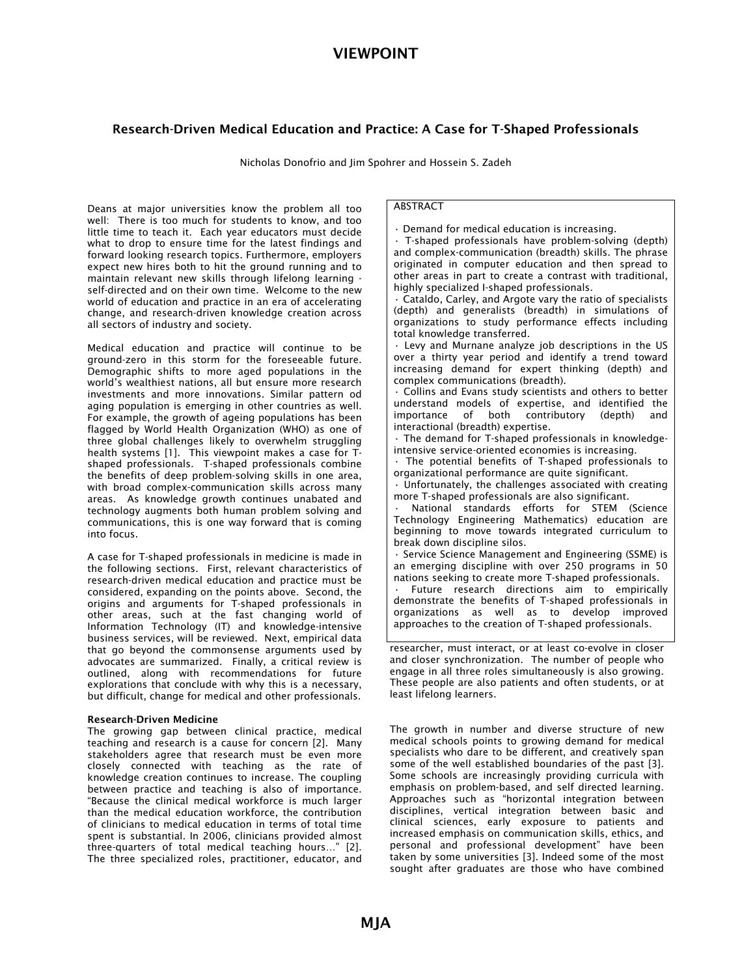# VIEWPOINT

# Research-Driven Medical Education and Practice: A Case for T-Shaped Professionals

*Nicholas Donofrio and Jim Spohrer and Hossein S. Zadeh* 

*Deans at major universities know the problem all too well: There is too much for students to know, and too little time to teach it. Each year educators must decide what to drop to ensure time for the latest findings and forward looking research topics. Furthermore, employers expect new hires both to hit the ground running and to maintain relevant new skills through lifelong learning self-directed and on their own time. Welcome to the new world of education and practice in an era of accelerating change, and research-driven knowledge creation across all sectors of industry and society.* 

*Medical education and practice will continue to be ground-zero in this storm for the foreseeable future. Demographic shifts to more aged populations in the world's wealthiest nations, all but ensure more research investments and more innovations. Similar pattern od aging population is emerging in other countries as well. For example, the growth of ageing populations has been flagged by World Health Organization (WHO) as one of three global challenges likely to overwhelm struggling health systems [1]. This viewpoint makes a case for Tshaped professionals. T-shaped professionals combine the benefits of deep problem-solving skills in one area, with broad complex-communication skills across many areas. As knowledge growth continues unabated and technology augments both human problem solving and communications, this is one way forward that is coming into focus.* 

*A case for T-shaped professionals in medicine is made in the following sections. First, relevant characteristics of research-driven medical education and practice must be considered, expanding on the points above. Second, the origins and arguments for T-shaped professionals in other areas, such at the fast changing world of Information Technology (IT) and knowledge-intensive business services, will be reviewed. Next, empirical data that go beyond the commonsense arguments used by advocates are summarized. Finally, a critical review is outlined, along with recommendations for future explorations that conclude with why this is a necessary, but difficult, change for medical and other professionals.* 

### Research-Driven Medicine

*The growing gap between clinical practice, medical teaching and research is a cause for concern [2]. Many stakeholders agree that research must be even more closely connected with teaching as the rate of knowledge creation continues to increase. The coupling between practice and teaching is also of importance. "Because the clinical medical workforce is much larger than the medical education workforce, the contribution of clinicians to medical education in terms of total time spent is substantial. In 2006, clinicians provided almost three-quarters of total medical teaching hours…" [2]. The three specialized roles, practitioner, educator, and* 

## *ABSTRACT*

*• Demand for medical education is increasing.* 

*• T-shaped professionals have problem-solving (depth) and complex-communication (breadth) skills. The phrase originated in computer education and then spread to other areas in part to create a contrast with traditional, highly specialized I-shaped professionals.* 

*• Cataldo, Carley, and Argote vary the ratio of specialists (depth) and generalists (breadth) in simulations of organizations to study performance effects including total knowledge transferred.* 

*• Levy and Murnane analyze job descriptions in the US over a thirty year period and identify a trend toward increasing demand for expert thinking (depth) and complex communications (breadth).* 

*• Collins and Evans study scientists and others to better understand models of expertise, and identified the importance of both contributory (depth) and interactional (breadth) expertise.* 

*• The demand for T-shaped professionals in knowledgeintensive service-oriented economies is increasing.*

*• The potential benefits of T-shaped professionals to organizational performance are quite significant.* 

*• Unfortunately, the challenges associated with creating more T-shaped professionals are also significant.* 

*• National standards efforts for STEM (Science Technology Engineering Mathematics) education are beginning to move towards integrated curriculum to break down discipline silos.* 

*• Service Science Management and Engineering (SSME) is an emerging discipline with over 250 programs in 50 nations seeking to create more T-shaped professionals. • Future research directions aim to empirically* 

*demonstrate the benefits of T-shaped professionals in organizations as well as to develop improved approaches to the creation of T-shaped professionals.* 

*researcher, must interact, or at least co-evolve in closer and closer synchronization. The number of people who engage in all three roles simultaneously is also growing. These people are also patients and often students, or at least lifelong learners.* 

*The growth in number and diverse structure of new medical schools points to growing demand for medical specialists who dare to be different, and creatively span some of the well established boundaries of the past [3]. Some schools are increasingly providing curricula with emphasis on problem-based, and self directed learning. Approaches such as "horizontal integration between disciplines, vertical integration between basic and clinical sciences, early exposure to patients and increased emphasis on communication skills, ethics, and personal and professional development" have been taken by some universities [3]. Indeed some of the most sought after graduates are those who have combined*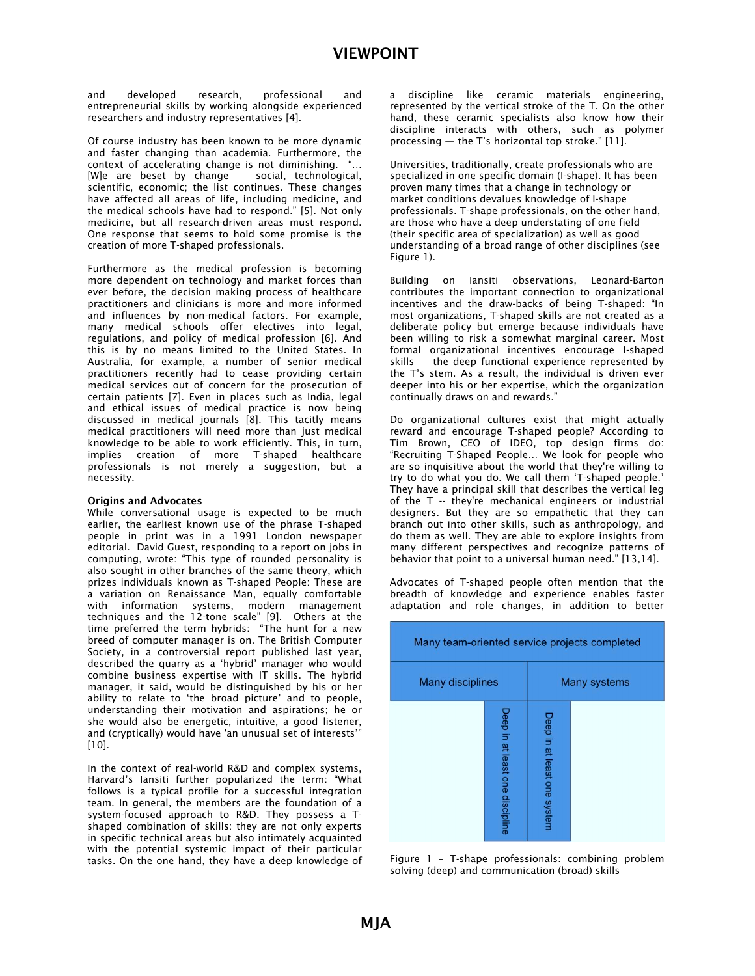*and developed research, professional and entrepreneurial skills by working alongside experienced researchers and industry representatives [4].* 

*Of course industry has been known to be more dynamic and faster changing than academia. Furthermore, the context of accelerating change is not diminishing. "… [W]e are beset by change — social, technological, scientific, economic; the list continues. These changes have affected all areas of life, including medicine, and the medical schools have had to respond." [5]. Not only medicine, but all research-driven areas must respond. One response that seems to hold some promise is the creation of more T-shaped professionals.* 

*Furthermore as the medical profession is becoming more dependent on technology and market forces than ever before, the decision making process of healthcare practitioners and clinicians is more and more informed and influences by non-medical factors. For example, many medical schools offer electives into legal, regulations, and policy of medical profession [6]. And this is by no means limited to the United States. In Australia, for example, a number of senior medical practitioners recently had to cease providing certain medical services out of concern for the prosecution of certain patients [7]. Even in places such as India, legal and ethical issues of medical practice is now being discussed in medical journals [8]. This tacitly means medical practitioners will need more than just medical knowledge to be able to work efficiently. This, in turn, implies creation of more T-shaped healthcare professionals is not merely a suggestion, but a necessity.* 

#### Origins and Advocates

*While conversational usage is expected to be much earlier, the earliest known use of the phrase T-shaped people in print was in a 1991 London newspaper editorial. David Guest, responding to a report on jobs in computing, wrote: "This type of rounded personality is also sought in other branches of the same theory, which prizes individuals known as T-shaped People: These are a variation on Renaissance Man, equally comfortable with information systems, modern management techniques and the 12-tone scale" [9]. Others at the time preferred the term hybrids: "The hunt for a new breed of computer manager is on. The British Computer Society, in a controversial report published last year, described the quarry as a 'hybrid' manager who would combine business expertise with IT skills. The hybrid manager, it said, would be distinguished by his or her ability to relate to 'the broad picture' and to people, understanding their motivation and aspirations; he or she would also be energetic, intuitive, a good listener, and (cryptically) would have 'an unusual set of interests'" [10].* 

*In the context of real-world R&D and complex systems, Harvard's Iansiti further popularized the term: "What follows is a typical profile for a successful integration team. In general, the members are the foundation of a system-focused approach to R&D. They possess a Tshaped combination of skills: they are not only experts in specific technical areas but also intimately acquainted with the potential systemic impact of their particular tasks. On the one hand, they have a deep knowledge of*  *a discipline like ceramic materials engineering, represented by the vertical stroke of the T. On the other hand, these ceramic specialists also know how their discipline interacts with others, such as polymer processing — the T's horizontal top stroke." [11].* 

*Universities, traditionally, create professionals who are specialized in one specific domain (I-shape). It has been proven many times that a change in technology or market conditions devalues knowledge of I-shape professionals. T-shape professionals, on the other hand, are those who have a deep understating of one field (their specific area of specialization) as well as good understanding of a broad range of other disciplines (see Figure 1).* 

*Building on Iansiti observations, Leonard-Barton contributes the important connection to organizational incentives and the draw-backs of being T-shaped: "In most organizations, T-shaped skills are not created as a deliberate policy but emerge because individuals have been willing to risk a somewhat marginal career. Most formal organizational incentives encourage I-shaped skills — the deep functional experience represented by the T's stem. As a result, the individual is driven ever deeper into his or her expertise, which the organization continually draws on and rewards."* 

*Do organizational cultures exist that might actually reward and encourage T-shaped people? According to Tim Brown, CEO of IDEO, top design firms do: "Recruiting T-Shaped People… We look for people who are so inquisitive about the world that they're willing to try to do what you do. We call them 'T-shaped people.' They have a principal skill that describes the vertical leg of the T -- they're mechanical engineers or industrial designers. But they are so empathetic that they can branch out into other skills, such as anthropology, and do them as well. They are able to explore insights from many different perspectives and recognize patterns of behavior that point to a universal human need." [13,14].* 

*Advocates of T-shaped people often mention that the breadth of knowledge and experience enables faster adaptation and role changes, in addition to better* 

| Many team-oriented service projects completed |                                 |                             |  |
|-----------------------------------------------|---------------------------------|-----------------------------|--|
| <b>Many disciplines</b>                       |                                 | <b>Many systems</b>         |  |
|                                               | Deep in at least one discipline | Deep in at least one system |  |

*Figure 1 – T-shape professionals: combining problem solving (deep) and communication (broad) skills*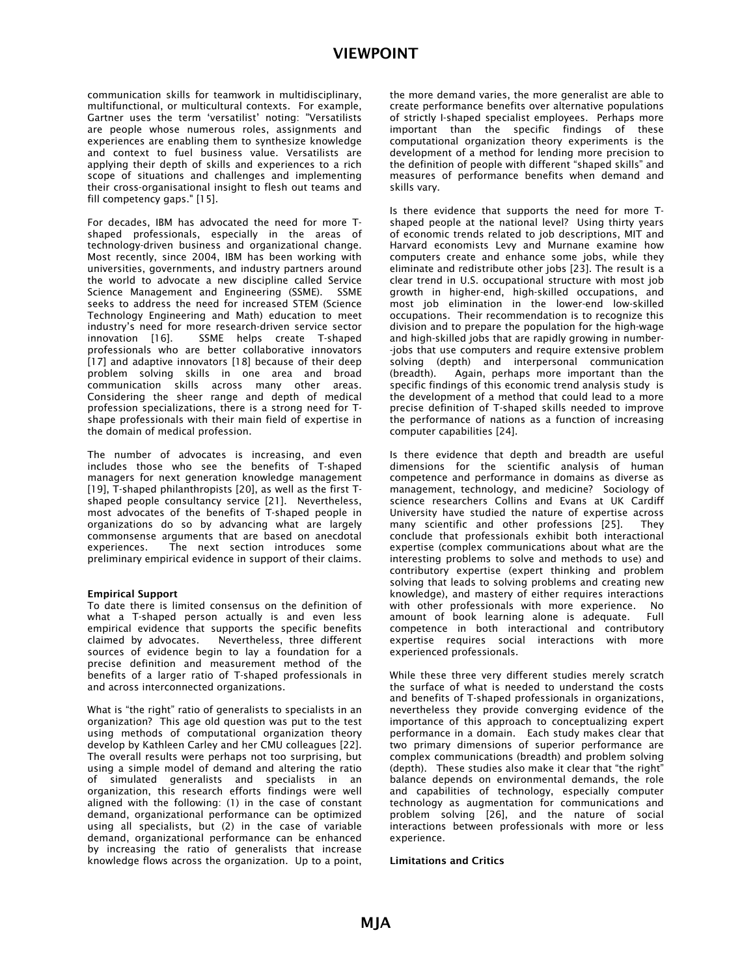# VIEWPOINT

*communication skills for teamwork in multidisciplinary, multifunctional, or multicultural contexts. For example, Gartner uses the term 'versatilist' noting: "Versatilists are people whose numerous roles, assignments and experiences are enabling them to synthesize knowledge and context to fuel business value. Versatilists are applying their depth of skills and experiences to a rich scope of situations and challenges and implementing their cross-organisational insight to flesh out teams and fill competency gaps." [15].* 

*For decades, IBM has advocated the need for more Tshaped professionals, especially in the areas of technology-driven business and organizational change. Most recently, since 2004, IBM has been working with universities, governments, and industry partners around the world to advocate a new discipline called Service Science Management and Engineering (SSME). SSME seeks to address the need for increased STEM (Science Technology Engineering and Math) education to meet industry's need for more research-driven service sector innovation [16]. SSME helps create T-shaped professionals who are better collaborative innovators [17] and adaptive innovators [18] because of their deep problem solving skills in one area and broad communication skills across many other areas. Considering the sheer range and depth of medical profession specializations, there is a strong need for Tshape professionals with their main field of expertise in the domain of medical profession.* 

*The number of advocates is increasing, and even includes those who see the benefits of T-shaped managers for next generation knowledge management [19], T-shaped philanthropists [20], as well as the first Tshaped people consultancy service [21]. Nevertheless, most advocates of the benefits of T-shaped people in organizations do so by advancing what are largely commonsense arguments that are based on anecdotal experiences. The next section introduces some preliminary empirical evidence in support of their claims.* 

### Empirical Support

*To date there is limited consensus on the definition of what a T-shaped person actually is and even less empirical evidence that supports the specific benefits claimed by advocates. Nevertheless, three different sources of evidence begin to lay a foundation for a precise definition and measurement method of the benefits of a larger ratio of T-shaped professionals in and across interconnected organizations.* 

*What is "the right" ratio of generalists to specialists in an organization? This age old question was put to the test using methods of computational organization theory develop by Kathleen Carley and her CMU colleagues [22]. The overall results were perhaps not too surprising, but using a simple model of demand and altering the ratio of simulated generalists and specialists in an organization, this research efforts findings were well aligned with the following: (1) in the case of constant demand, organizational performance can be optimized using all specialists, but (2) in the case of variable demand, organizational performance can be enhanced by increasing the ratio of generalists that increase knowledge flows across the organization. Up to a point,*  *the more demand varies, the more generalist are able to create performance benefits over alternative populations of strictly I-shaped specialist employees. Perhaps more important than the specific findings of these computational organization theory experiments is the development of a method for lending more precision to the definition of people with different "shaped skills" and measures of performance benefits when demand and skills vary.* 

*Is there evidence that supports the need for more Tshaped people at the national level? Using thirty years of economic trends related to job descriptions, MIT and Harvard economists Levy and Murnane examine how computers create and enhance some jobs, while they eliminate and redistribute other jobs [23]. The result is a clear trend in U.S. occupational structure with most job growth in higher-end, high-skilled occupations, and most job elimination in the lower-end low-skilled occupations. Their recommendation is to recognize this division and to prepare the population for the high-wage and high-skilled jobs that are rapidly growing in number- -jobs that use computers and require extensive problem solving (depth) and interpersonal communication (breadth). Again, perhaps more important than the specific findings of this economic trend analysis study is the development of a method that could lead to a more precise definition of T-shaped skills needed to improve the performance of nations as a function of increasing computer capabilities [24].* 

*Is there evidence that depth and breadth are useful dimensions for the scientific analysis of human competence and performance in domains as diverse as management, technology, and medicine? Sociology of science researchers Collins and Evans at UK Cardiff University have studied the nature of expertise across many scientific and other professions [25]. They conclude that professionals exhibit both interactional expertise (complex communications about what are the interesting problems to solve and methods to use) and contributory expertise (expert thinking and problem solving that leads to solving problems and creating new knowledge), and mastery of either requires interactions with other professionals with more experience. No amount of book learning alone is adequate. Full competence in both interactional and contributory expertise requires social interactions with more experienced professionals.* 

*While these three very different studies merely scratch the surface of what is needed to understand the costs and benefits of T-shaped professionals in organizations, nevertheless they provide converging evidence of the importance of this approach to conceptualizing expert performance in a domain. Each study makes clear that two primary dimensions of superior performance are complex communications (breadth) and problem solving (depth). These studies also make it clear that "the right" balance depends on environmental demands, the role and capabilities of technology, especially computer technology as augmentation for communications and problem solving [26], and the nature of social interactions between professionals with more or less experience.* 

Limitations and Critics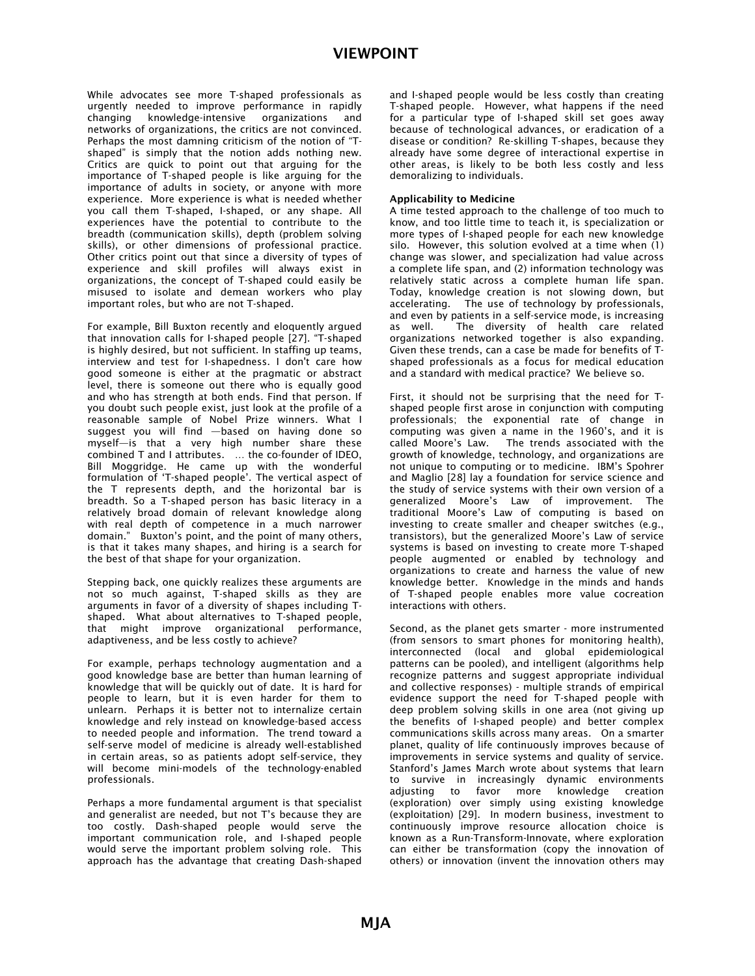While advocates see more T-shaped professionals as urgently needed to improve performance in rapidly knowledge-intensive organizations networks of organizations, the critics are not convinced. Perhaps the most damning criticism of the notion of "Tshaped" is simply that the notion adds nothing new. Critics are quick to point out that arguing for the importance of T-shaped people is like arguing for the importance of adults in society, or anyone with more experience. More experience is what is needed whether you call them T-shaped, I-shaped, or any shape. All experiences have the potential to contribute to the breadth (communication skills), depth (problem solving skills), or other dimensions of professional practice. Other critics point out that since a diversity of types of experience and skill profiles will always exist in organizations, the concept of T-shaped could easily be misused to isolate and demean workers who play important roles, but who are not T-shaped.

For example, Bill Buxton recently and eloquently argued that innovation calls for I-shaped people [27]. "T-shaped is highly desired, but not sufficient. In staffing up teams, interview and test for I-shapedness. I don't care how good someone is either at the pragmatic or abstract level, there is someone out there who is equally good and who has strength at both ends. Find that person. If you doubt such people exist, just look at the profile of a reasonable sample of Nobel Prize winners. What I suggest you will find —based on having done so myself—is that a very high number share these combined T and I attributes. … the co-founder of IDEO, Bill Moggridge. He came up with the wonderful formulation of 'T-shaped people'. The vertical aspect of the T represents depth, and the horizontal bar is breadth. So a T-shaped person has basic literacy in a relatively broad domain of relevant knowledge along with real depth of competence in a much narrower domain." Buxton's point, and the point of many others, is that it takes many shapes, and hiring is a search for the best of that shape for your organization.

Stepping back, one quickly realizes these arguments are not so much against, T-shaped skills as they are arguments in favor of a diversity of shapes including Tshaped. What about alternatives to T-shaped people, that might improve organizational performance, adaptiveness, and be less costly to achieve?

For example, perhaps technology augmentation and a good knowledge base are better than human learning of knowledge that will be quickly out of date. It is hard for people to learn, but it is even harder for them to unlearn. Perhaps it is better not to internalize certain knowledge and rely instead on knowledge-based access to needed people and information. The trend toward a self-serve model of medicine is already well-established in certain areas, so as patients adopt self-service, they will become mini-models of the technology-enabled professionals.

Perhaps a more fundamental argument is that specialist and generalist are needed, but not T's because they are too costly. Dash-shaped people would serve the important communication role, and I-shaped people would serve the important problem solving role. This approach has the advantage that creating Dash-shaped

and I-shaped people would be less costly than creating T-shaped people. However, what happens if the need for a particular type of I-shaped skill set goes away because of technological advances, or eradication of a disease or condition? Re-skilling T-shapes, because they already have some degree of interactional expertise in other areas, is likely to be both less costly and less demoralizing to individuals.

# Applicability to Medicine

A time tested approach to the challenge of too much to know, and too little time to teach it, is specialization or more types of I-shaped people for each new knowledge silo. However, this solution evolved at a time when (1) change was slower, and specialization had value across a complete life span, and (2) information technology was relatively static across a complete human life span. Today, knowledge creation is not slowing down, but accelerating. The use of technology by professionals, and even by patients in a self-service mode, is increasing<br>as well. The diversity of health care related The diversity of health care related organizations networked together is also expanding. Given these trends, can a case be made for benefits of Tshaped professionals as a focus for medical education and a standard with medical practice? We believe so.

First, it should not be surprising that the need for Tshaped people first arose in conjunction with computing professionals; the exponential rate of change in computing was given a name in the 1960's, and it is called Moore's Law. The trends associated with the growth of knowledge, technology, and organizations are not unique to computing or to medicine. IBM's Spohrer and Maglio [28] lay a foundation for service science and the study of service systems with their own version of a generalized Moore's Law of improvement. The traditional Moore's Law of computing is based on investing to create smaller and cheaper switches (e.g., transistors), but the generalized Moore's Law of service systems is based on investing to create more T-shaped people augmented or enabled by technology and organizations to create and harness the value of new knowledge better. Knowledge in the minds and hands of T-shaped people enables more value cocreation interactions with others.

Second, as the planet gets smarter - more instrumented (from sensors to smart phones for monitoring health), interconnected (local and global epidemiological patterns can be pooled), and intelligent (algorithms help recognize patterns and suggest appropriate individual and collective responses) - multiple strands of empirical evidence support the need for T-shaped people with deep problem solving skills in one area (not giving up the benefits of I-shaped people) and better complex communications skills across many areas. On a smarter planet, quality of life continuously improves because of improvements in service systems and quality of service. Stanford's James March wrote about systems that learn to survive in increasingly dynamic environments adjusting to favor more knowledge creation (exploration) over simply using existing knowledge (exploitation) [29]. In modern business, investment to continuously improve resource allocation choice is known as a Run-Transform-Innovate, where exploration can either be transformation (copy the innovation of others) or innovation (invent the innovation others may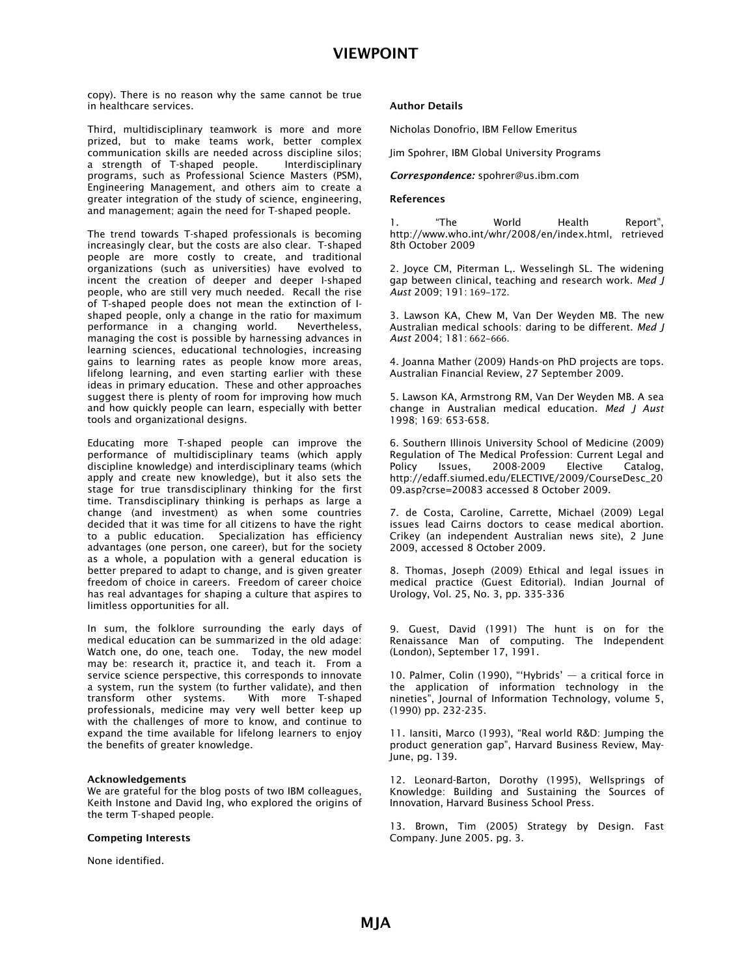*copy). There is no reason why the same cannot be true in healthcare services.* 

*Third, multidisciplinary teamwork is more and more prized, but to make teams work, better complex communication skills are needed across discipline silos;*  a strength of T-shaped people. *programs, such as Professional Science Masters (PSM), Engineering Management, and others aim to create a greater integration of the study of science, engineering, and management; again the need for T-shaped people.*

*The trend towards T-shaped professionals is becoming increasingly clear, but the costs are also clear. T-shaped people are more costly to create, and traditional organizations (such as universities) have evolved to incent the creation of deeper and deeper I-shaped people, who are still very much needed. Recall the rise of T-shaped people does not mean the extinction of Ishaped people, only a change in the ratio for maximum performance in a changing world. Nevertheless, managing the cost is possible by harnessing advances in learning sciences, educational technologies, increasing gains to learning rates as people know more areas, lifelong learning, and even starting earlier with these ideas in primary education. These and other approaches suggest there is plenty of room for improving how much and how quickly people can learn, especially with better tools and organizational designs.* 

*Educating more T-shaped people can improve the performance of multidisciplinary teams (which apply discipline knowledge) and interdisciplinary teams (which apply and create new knowledge), but it also sets the stage for true transdisciplinary thinking for the first time. Transdisciplinary thinking is perhaps as large a change (and investment) as when some countries decided that it was time for all citizens to have the right to a public education. Specialization has efficiency advantages (one person, one career), but for the society as a whole, a population with a general education is better prepared to adapt to change, and is given greater freedom of choice in careers. Freedom of career choice has real advantages for shaping a culture that aspires to limitless opportunities for all.* 

*In sum, the folklore surrounding the early days of medical education can be summarized in the old adage: Watch one, do one, teach one. Today, the new model may be: research it, practice it, and teach it. From a service science perspective, this corresponds to innovate a system, run the system (to further validate), and then transform other systems. professionals, medicine may very well better keep up with the challenges of more to know, and continue to expand the time available for lifelong learners to enjoy the benefits of greater knowledge.* 

#### Acknowledgements

*We are grateful for the blog posts of two IBM colleagues, Keith Instone and David Ing, who explored the origins of the term T-shaped people.* 

#### Competing Interests

*None identified.* 

#### Author Details

*Nicholas Donofrio, IBM Fellow Emeritus* 

*Jim Spohrer, IBM Global University Programs* 

*Correspondence: spohrer@us.ibm.com* 

#### References

*1. "The World Health Report", http://www.who.int/whr/2008/en/index.html, retrieved 8th October 2009* 

*2. Joyce CM, Piterman L,. Wesselingh SL. The widening gap between clinical, teaching and research work. Med J Aust* 2009; 191: 169-172.

*3. Lawson KA, Chew M, Van Der Weyden MB. The new Australian medical schools: daring to be different. Med J Aust* 2004; 181: 662-666.

*4. Joanna Mather (2009) Hands-on PhD projects are tops. Australian Financial Review, 27 September 2009.* 

*5. Lawson KA, Armstrong RM, Van Der Weyden MB. A sea change in Australian medical education. Med J Aust 1998; 169: 653-658.* 

*6. Southern Illinois University School of Medicine (2009) Regulation of The Medical Profession: Current Legal and Policy Issues, 2008-2009 Elective Catalog, http://edaff.siumed.edu/ELECTIVE/2009/CourseDesc\_20 09.asp?crse=20083 accessed 8 October 2009.* 

*7. de Costa, Caroline, Carrette, Michael (2009) Legal issues lead Cairns doctors to cease medical abortion. Crikey (an independent Australian news site), 2 June 2009, accessed 8 October 2009.* 

*8. Thomas, Joseph (2009) Ethical and legal issues in medical practice (Guest Editorial). Indian Journal of Urology, Vol. 25, No. 3, pp. 335-336* 

*9. Guest, David (1991) The hunt is on for the Renaissance Man of computing. The Independent (London), September 17, 1991.* 

*10. Palmer, Colin (1990), "'Hybrids' — a critical force in the application of information technology in the nineties", Journal of Information Technology, volume 5, (1990) pp. 232-235.* 

*11. Iansiti, Marco (1993), "Real world R&D: Jumping the product generation gap", Harvard Business Review, May-June, pg. 139.* 

*12. Leonard-Barton, Dorothy (1995), Wellsprings of Knowledge: Building and Sustaining the Sources of Innovation, Harvard Business School Press.* 

*13. Brown, Tim (2005) Strategy by Design. Fast Company. June 2005. pg. 3.*